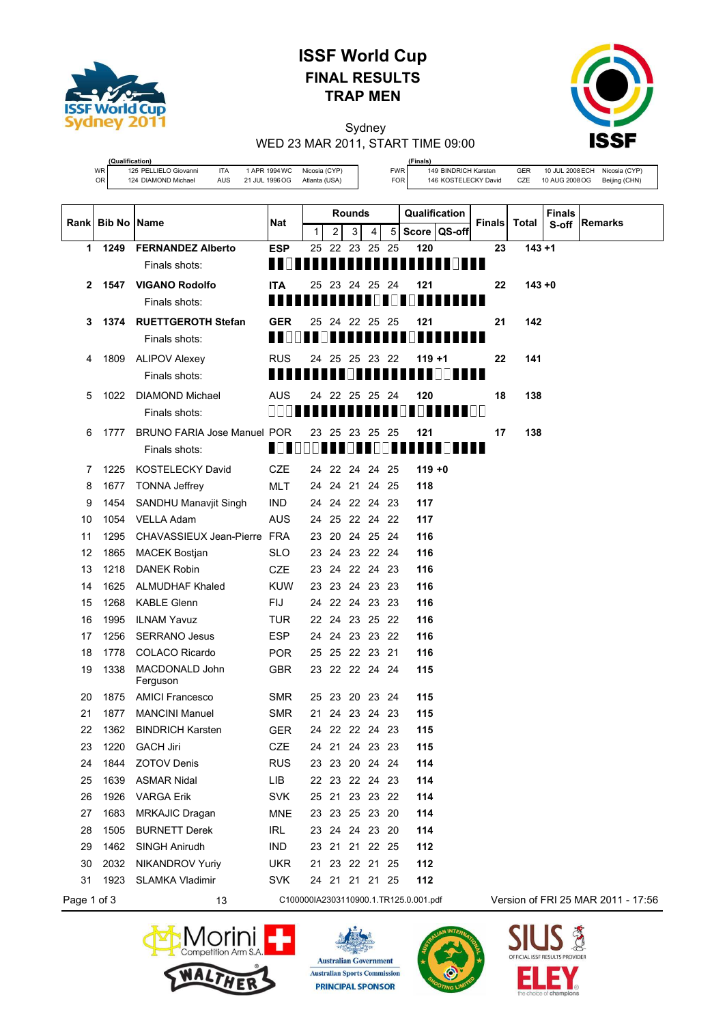

**(Qualification)**

# **ISSF World Cup FINAL RESULTS TRAP MEN**

Sydney WED 23 MAR 2011, START TIME 09:00



WR 125 PELLIELO Giovanni ITA 1 APR 1994 WC Nicosia (CYP)<br>124 DIAMOND Michael AUS 21 JUL 1996 OG Atlanta (USA) OR 124 DIAMOND Michael AUS 21 JUL 1996 OG Atlanta (USA)

**(Finals)** FWR 149 BINDRICH Karsten GER 10 JUL 2008ECH Nicosia (CYP) FOR 146 KOSTELECKY David CZE 10 AUG 2008 OG Beijing (CHN)

| Rank Bib No Name |      |                              | Nat                                | <b>Rounds</b> |                |                |     |      | Qualification                         |              |                                | <b>Finals</b> Total | <b>Finals</b> | Remarks                            |
|------------------|------|------------------------------|------------------------------------|---------------|----------------|----------------|-----|------|---------------------------------------|--------------|--------------------------------|---------------------|---------------|------------------------------------|
|                  |      |                              |                                    | 1             | $\overline{2}$ | 3              | 4   | 5    |                                       | Score QS-off |                                |                     | S-off         |                                    |
| 1                | 1249 | <b>FERNANDEZ Alberto</b>     | <b>ESP</b>                         |               |                | 25 22 23 25 25 |     |      | 120                                   |              | 23                             | $143 + 1$           |               |                                    |
|                  |      | Finals shots:                | ------------------------           |               |                |                |     |      |                                       |              |                                |                     |               |                                    |
| $\mathbf{2}$     |      | 1547 VIGANO Rodolfo          | <b>ITA</b>                         |               |                | 25 23 24 25 24 |     |      | 121                                   |              | 22                             | $143 + 0$           |               |                                    |
|                  |      | Finals shots:                |                                    |               |                |                |     |      | 11   11   1                           |              |                                |                     |               |                                    |
| 3                |      | 1374 RUETTGEROTH Stefan      | <b>GER</b>                         | 25            | 24             | 22             | -25 | - 25 | 121                                   |              | 21                             | 142                 |               |                                    |
|                  |      | Finals shots:                | ,,,,,,,,,,,,,,,,,,,,,,,,,,,,,,,,,, |               |                |                |     |      |                                       |              |                                |                     |               |                                    |
| 4                |      | 1809 ALIPOV Alexey           | <b>RUS</b>                         |               |                | 24 25 25 23 22 |     |      | $119 + 1$                             |              | 22                             | 141                 |               |                                    |
|                  |      | Finals shots:                |                                    |               |                |                |     |      |                                       |              |                                |                     |               |                                    |
| 5                | 1022 | DIAMOND Michael              | <b>AUS</b>                         | 24            | 22             | 25             | -25 | -24  | 120                                   |              | 18                             | 138                 |               |                                    |
|                  |      | Finals shots:                | 1                   <u>  </u>      |               |                |                |     |      | .                                     |              | $\blacksquare \square \square$ |                     |               |                                    |
| 6                | 1777 | BRUNO FARIA Jose Manuel POR  |                                    |               |                | 23 25 23 25 25 |     |      | 121                                   |              | 17                             | 138                 |               |                                    |
|                  |      | Finals shots:                | <u> Tanzania de la pro</u>         |               |                |                |     | M.   |                                       |              |                                |                     |               |                                    |
| 7                | 1225 | <b>KOSTELECKY David</b>      | CZE                                |               |                | 24 22 24 24 25 |     |      | $119 + 0$                             |              |                                |                     |               |                                    |
| 8                | 1677 | <b>TONNA Jeffrey</b>         | MLT                                |               |                | 24 24 21 24 25 |     |      | 118                                   |              |                                |                     |               |                                    |
| 9                | 1454 | <b>SANDHU Manavjit Singh</b> | <b>IND</b>                         |               |                | 24 24 22 24 23 |     |      | 117                                   |              |                                |                     |               |                                    |
| 10               | 1054 | <b>VELLA Adam</b>            | AUS                                |               |                | 24 25 22 24 22 |     |      | 117                                   |              |                                |                     |               |                                    |
| 11               | 1295 | CHAVASSIEUX Jean-Pierre FRA  |                                    |               |                | 23 20 24 25 24 |     |      | 116                                   |              |                                |                     |               |                                    |
| 12               | 1865 | <b>MACEK Bostjan</b>         | <b>SLO</b>                         |               |                | 23 24 23 22 24 |     |      | 116                                   |              |                                |                     |               |                                    |
| 13               | 1218 | <b>DANEK Robin</b>           | CZE                                |               |                | 23 24 22 24 23 |     |      | 116                                   |              |                                |                     |               |                                    |
| 14               | 1625 | <b>ALMUDHAF Khaled</b>       | KUW                                |               |                | 23 23 24 23 23 |     |      | 116                                   |              |                                |                     |               |                                    |
| 15               | 1268 | <b>KABLE Glenn</b>           | <b>FIJ</b>                         |               |                | 24 22 24 23 23 |     |      | 116                                   |              |                                |                     |               |                                    |
| 16               | 1995 | <b>ILNAM Yavuz</b>           | TUR                                |               |                | 22 24 23 25 22 |     |      | 116                                   |              |                                |                     |               |                                    |
| 17               | 1256 | <b>SERRANO Jesus</b>         | <b>ESP</b>                         |               |                | 24 24 23 23 22 |     |      | 116                                   |              |                                |                     |               |                                    |
| 18               | 1778 | <b>COLACO Ricardo</b>        | <b>POR</b>                         |               |                | 25 25 22 23 21 |     |      | 116                                   |              |                                |                     |               |                                    |
| 19               | 1338 | MACDONALD John<br>Ferguson   | <b>GBR</b>                         |               |                | 23 22 22 24 24 |     |      | 115                                   |              |                                |                     |               |                                    |
| 20               | 1875 | <b>AMICI Francesco</b>       | <b>SMR</b>                         |               |                | 25 23 20 23 24 |     |      | 115                                   |              |                                |                     |               |                                    |
| 21               | 1877 | <b>MANCINI Manuel</b>        | <b>SMR</b>                         |               |                | 21 24 23 24 23 |     |      | 115                                   |              |                                |                     |               |                                    |
| 22               | 1362 | <b>BINDRICH Karsten</b>      | GER                                |               |                | 24 22 22 24 23 |     |      | 115                                   |              |                                |                     |               |                                    |
| 23               | 1220 | <b>GACH Jiri</b>             | <b>CZE</b>                         |               |                | 24 21 24 23 23 |     |      | 115                                   |              |                                |                     |               |                                    |
| 24               | 1844 | <b>ZOTOV Denis</b>           | <b>RUS</b>                         |               |                | 23 23 20 24 24 |     |      | 114                                   |              |                                |                     |               |                                    |
| 25               | 1639 | <b>ASMAR Nidal</b>           | <b>LIB</b>                         |               |                | 22 23 22 24 23 |     |      | 114                                   |              |                                |                     |               |                                    |
| 26               | 1926 | <b>VARGA Erik</b>            | <b>SVK</b>                         |               |                | 25 21 23 23 22 |     |      | 114                                   |              |                                |                     |               |                                    |
| 27               | 1683 | MRKAJIC Dragan               | MNE                                |               |                | 23 23 25 23 20 |     |      | 114                                   |              |                                |                     |               |                                    |
| 28               | 1505 | <b>BURNETT Derek</b>         | <b>IRL</b>                         |               |                | 23 24 24 23 20 |     |      | 114                                   |              |                                |                     |               |                                    |
| 29               | 1462 | <b>SINGH Anirudh</b>         | <b>IND</b>                         |               |                | 23 21 21 22 25 |     |      | 112                                   |              |                                |                     |               |                                    |
| 30               | 2032 | <b>NIKANDROV Yuriy</b>       | <b>UKR</b>                         |               |                | 21 23 22 21 25 |     |      | 112                                   |              |                                |                     |               |                                    |
| 31               | 1923 | <b>SLAMKA Vladimir</b>       | <b>SVK</b>                         |               |                | 24 21 21 21 25 |     |      | 112                                   |              |                                |                     |               |                                    |
| Page 1 of 3      |      | 13                           |                                    |               |                |                |     |      | C100000IA2303110900.1.TR125.0.001.pdf |              |                                |                     |               | Version of FRI 25 MAR 2011 - 17:56 |







Е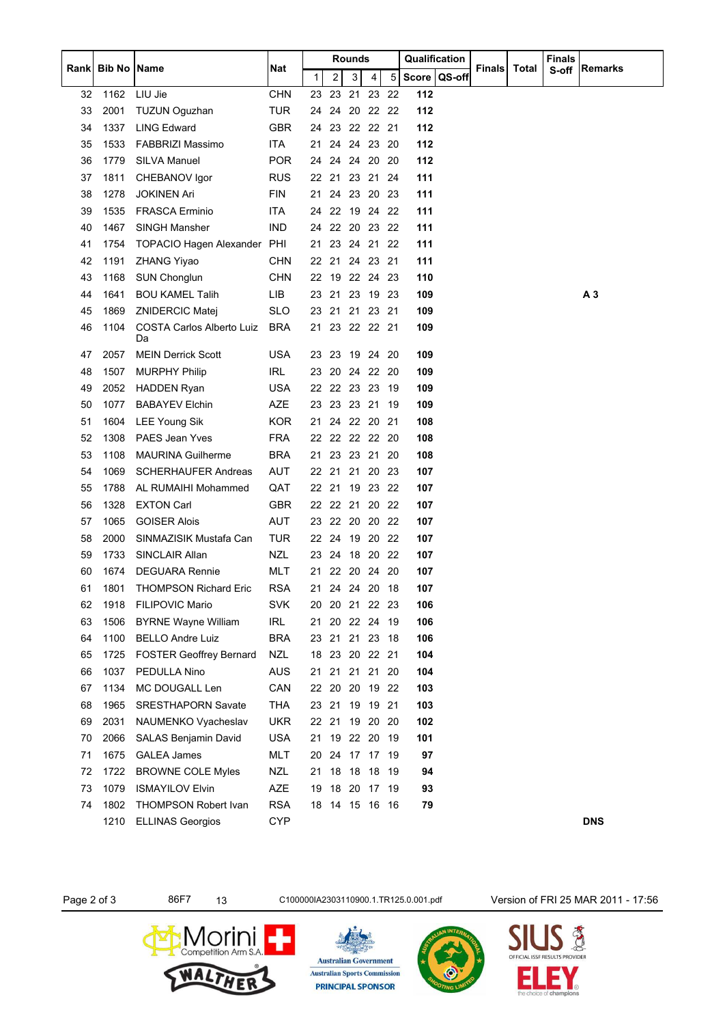|      |                    |                                 |            | Rounds |       | Qualification  |          |     | Finals       |               |       |       |                |
|------|--------------------|---------------------------------|------------|--------|-------|----------------|----------|-----|--------------|---------------|-------|-------|----------------|
| Rank | <b>Bib No Name</b> |                                 | <b>Nat</b> | 1      | 2     | 3              | 4        | 5   | Score QS-off | <b>Finals</b> | Total | S-off | Remarks        |
| 32   | 1162               | LIU Jie                         | <b>CHN</b> | 23     | 23    | 21             | 23       | 22  | 112          |               |       |       |                |
| 33   | 2001               | <b>TUZUN Oguzhan</b>            | <b>TUR</b> |        |       | 24 24 20 22 22 |          |     | 112          |               |       |       |                |
| 34   | 1337               | <b>LING Edward</b>              | GBR        |        |       | 24 23 22 22 21 |          |     | 112          |               |       |       |                |
| 35   | 1533               | <b>FABBRIZI Massimo</b>         | ITA        | 21     | 24    | 24 23 20       |          |     | 112          |               |       |       |                |
| 36   | 1779               | SILVA Manuel                    | <b>POR</b> | 24     | 24    | 24 20          |          | -20 | 112          |               |       |       |                |
| 37   | 1811               | CHEBANOV Igor                   | RUS        | 22 21  |       | 23 21          |          | -24 | 111          |               |       |       |                |
| 38   | 1278               | <b>JOKINEN Ari</b>              | <b>FIN</b> | 21     |       | 24 23 20 23    |          |     | 111          |               |       |       |                |
| 39   | 1535               | <b>FRASCA Erminio</b>           | <b>ITA</b> | 24     | 22    | 19 24          |          | -22 | 111          |               |       |       |                |
| 40   | 1467               | <b>SINGH Mansher</b>            | <b>IND</b> |        |       | 24 22 20 23 22 |          |     | 111          |               |       |       |                |
| 41   | 1754               | TOPACIO Hagen Alexander PHI     |            |        |       | 21 23 24 21 22 |          |     | 111          |               |       |       |                |
| 42   | 1191               | ZHANG Yiyao                     | <b>CHN</b> |        |       | 22 21 24 23 21 |          |     | 111          |               |       |       |                |
| 43   | 1168               | <b>SUN Chonglun</b>             | <b>CHN</b> |        | 22 19 | 22 24 23       |          |     | 110          |               |       |       |                |
| 44   | 1641               | <b>BOU KAMEL Talih</b>          | LIB        | 23     | 21    | 23 19 23       |          |     | 109          |               |       |       | A <sub>3</sub> |
| 45   | 1869               | ZNIDERCIC Matej                 | <b>SLO</b> | 23     | 21    | 21  23  21     |          |     | 109          |               |       |       |                |
| 46   | 1104               | COSTA Carlos Alberto Luiz<br>Da | <b>BRA</b> | 21     |       | 23 22 22 21    |          |     | 109          |               |       |       |                |
| 47   | 2057               | <b>MEIN Derrick Scott</b>       | <b>USA</b> |        | 23 23 | 19 24          |          | -20 | 109          |               |       |       |                |
| 48   | 1507               | <b>MURPHY Philip</b>            | IRL        | 23     | 20    | 24 22          |          | 20  | 109          |               |       |       |                |
| 49   | 2052               | HADDEN Ryan                     | <b>USA</b> |        |       | 22 22 23 23    |          | -19 | 109          |               |       |       |                |
| 50   | 1077               | <b>BABAYEV Elchin</b>           | AZE        |        |       | 23 23 23 21    |          | -19 | 109          |               |       |       |                |
| 51   | 1604               | <b>LEE Young Sik</b>            | <b>KOR</b> | 21     |       | 24 22 20 21    |          |     | 108          |               |       |       |                |
| 52   | 1308               | PAES Jean Yves                  | <b>FRA</b> |        |       | 22 22 22 22 20 |          |     | 108          |               |       |       |                |
| 53   | 1108               | <b>MAURINA Guilherme</b>        | <b>BRA</b> |        |       | 21 23 23 21 20 |          |     | 108          |               |       |       |                |
| 54   | 1069               | <b>SCHERHAUFER Andreas</b>      | AUT        | 22 21  |       | 21 20 23       |          |     | 107          |               |       |       |                |
| 55   | 1788               | AL RUMAIHI Mohammed             | QAT        | 22 21  |       |                | 19 23 22 |     | 107          |               |       |       |                |
| 56   | 1328               | <b>EXTON Carl</b>               | <b>GBR</b> |        |       | 22 22 21 20    |          | -22 | 107          |               |       |       |                |
| 57   | 1065               | <b>GOISER Alois</b>             | <b>AUT</b> |        |       | 23 22 20 20    |          | -22 | 107          |               |       |       |                |
| 58   | 2000               | SINMAZISIK Mustafa Can          | TUR        |        | 22 24 | 19 20 22       |          |     | 107          |               |       |       |                |
| 59   | 1733               | <b>SINCLAIR Allan</b>           | <b>NZL</b> | 23     |       | 24 18 20       |          | -22 | 107          |               |       |       |                |
| 60   | 1674               | <b>DEGUARA Rennie</b>           | MLT        |        |       | 21 22 20 24 20 |          |     | 107          |               |       |       |                |
| 61   | 1801               | <b>THOMPSON Richard Eric</b>    | <b>RSA</b> | 21     |       | 24 24 20 18    |          |     | 107          |               |       |       |                |
| 62   | 1918               | <b>FILIPOVIC Mario</b>          | <b>SVK</b> |        |       | 20 20 21 22 23 |          |     | 106          |               |       |       |                |
| 63   | 1506               | <b>BYRNE Wayne William</b>      | IRL        | 21     | 20    | 22 24          |          | -19 | 106          |               |       |       |                |
| 64   | 1100               | <b>BELLO Andre Luiz</b>         | <b>BRA</b> | 23 21  |       | 21 23          |          | -18 | 106          |               |       |       |                |
| 65   | 1725               | <b>FOSTER Geoffrey Bernard</b>  | <b>NZL</b> |        |       | 18 23 20 22 21 |          |     | 104          |               |       |       |                |
| 66   | 1037               | PEDULLA Nino                    | <b>AUS</b> | 21     | 21    | 21             | 21       | -20 | 104          |               |       |       |                |
| 67   | 1134               | MC DOUGALL Len                  | CAN        |        |       | 22 20 20 19 22 |          |     | 103          |               |       |       |                |
| 68   | 1965               | <b>SRESTHAPORN Savate</b>       | <b>THA</b> | 23 21  |       | 19 19 21       |          |     | 103          |               |       |       |                |
| 69   | 2031               | NAUMENKO Vyacheslav             | <b>UKR</b> | 22 21  |       | 19 20 20       |          |     | 102          |               |       |       |                |
| 70   | 2066               | SALAS Benjamin David            | <b>USA</b> | 21     | 19    | 22 20 19       |          |     | 101          |               |       |       |                |
| 71   | 1675               | <b>GALEA James</b>              | <b>MLT</b> | 20     |       | 24 17 17 19    |          |     | 97           |               |       |       |                |
| 72   | 1722               | <b>BROWNE COLE Myles</b>        | <b>NZL</b> | 21     |       | 18  18  18  19 |          |     | 94           |               |       |       |                |
| 73   | 1079               | <b>ISMAYILOV Elvin</b>          | AZE        | 19     | 18    | 20 17 19       |          |     | 93           |               |       |       |                |
| 74   | 1802               | <b>THOMPSON Robert Ivan</b>     | <b>RSA</b> |        |       | 18 14 15 16 16 |          |     | 79           |               |       |       |                |
|      | 1210               | <b>ELLINAS Georgios</b>         | <b>CYP</b> |        |       |                |          |     |              |               |       |       | <b>DNS</b>     |

Page 2 of 3 86F7 13 C1000001A2303110900.1.TR125.0.001.pdf Version of FRI 25 MAR 2011 - 17:56







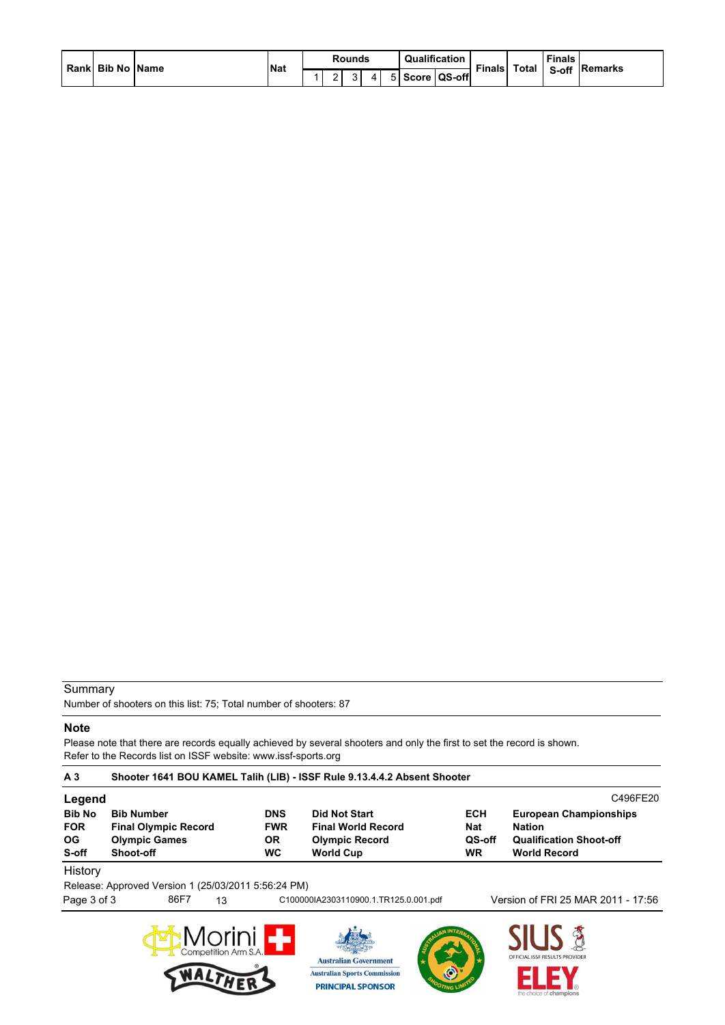|  | Rankl Bib No IName |  | <b>Nat</b> | Rounds      | Qualification  | Total<br><b>Finals</b> |  | <b>Finals</b> |  |
|--|--------------------|--|------------|-------------|----------------|------------------------|--|---------------|--|
|  |                    |  |            | $\sim$<br>ີ | 5 Score QS-off |                        |  | S-off Remarks |  |

### Summary

Number of shooters on this list: 75; Total number of shooters: 87

#### **Note**

Please note that there are records equally achieved by several shooters and only the first to set the record is shown. Refer to the Records list on ISSF website: www.issf-sports.org

| A <sub>3</sub> | Shooter 1641 BOU KAMEL Talih (LIB) - ISSF Rule 9.13.4.4.2 Absent Shooter |            |                           |            |                                |  |  |  |  |  |  |  |  |
|----------------|--------------------------------------------------------------------------|------------|---------------------------|------------|--------------------------------|--|--|--|--|--|--|--|--|
| Legend         |                                                                          |            |                           |            | C496FE20                       |  |  |  |  |  |  |  |  |
| <b>Bib No</b>  | <b>Bib Number</b>                                                        | <b>DNS</b> | <b>Did Not Start</b>      | <b>ECH</b> | <b>European Championships</b>  |  |  |  |  |  |  |  |  |
| <b>FOR</b>     | <b>Final Olympic Record</b>                                              | <b>FWR</b> | <b>Final World Record</b> | <b>Nat</b> | <b>Nation</b>                  |  |  |  |  |  |  |  |  |
| OG.            | <b>Olympic Games</b>                                                     | OR.        | <b>Olympic Record</b>     | QS-off     | <b>Qualification Shoot-off</b> |  |  |  |  |  |  |  |  |
| S-off          | Shoot-off                                                                | <b>WC</b>  | <b>World Cup</b>          | WR         | <b>World Record</b>            |  |  |  |  |  |  |  |  |
| Hietory        |                                                                          |            |                           |            |                                |  |  |  |  |  |  |  |  |

History

Release: Approved Version 1 (25/03/2011 5:56:24 PM)

Page 3 of 3 86F7 13 C1000001A2303110900.1.TR125.0.001.pdf Version of FRI 25 MAR 2011 - 17:56







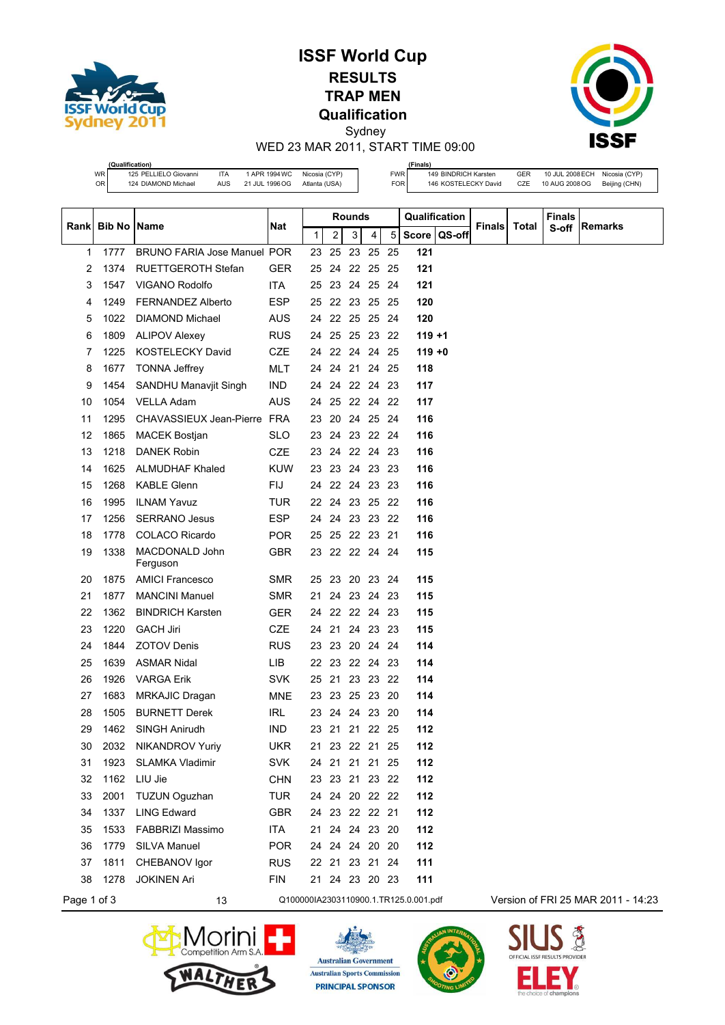

# **ISSF World Cup RESULTS TRAP MEN Qualification** Sydney



WED 23 MAR 2011, START TIME 09:00

|             | (Qualification)                             |                                                                   |                                 |                                |                    |               |          | (Finals)                 |                |                                              |               |            |                                    |                                |
|-------------|---------------------------------------------|-------------------------------------------------------------------|---------------------------------|--------------------------------|--------------------|---------------|----------|--------------------------|----------------|----------------------------------------------|---------------|------------|------------------------------------|--------------------------------|
|             | WR<br>OR                                    | 125 PELLIELO Giovanni<br>ITA<br>124 DIAMOND Michael<br><b>AUS</b> | 1 APR 1994 WC<br>21 JUL 1996 OG | Nicosia (CYP)<br>Atlanta (USA) |                    |               |          | <b>FWR</b><br><b>FOR</b> |                | 149 BINDRICH Karsten<br>146 KOSTELECKY David |               | GER<br>CZE | 10 JUL 2008 ECH<br>10 AUG 2008 OG  | Nicosia (CYP)<br>Beijing (CHN) |
|             |                                             |                                                                   |                                 |                                |                    |               |          |                          |                |                                              |               |            |                                    |                                |
|             |                                             |                                                                   |                                 |                                |                    | <b>Rounds</b> |          |                          | Qualification  |                                              |               |            | <b>Finals</b>                      |                                |
| Rank        | Bib No                                      | Name                                                              | <b>Nat</b>                      | 1                              | 2                  | 3             | 4        | 5                        | Score   QS-off |                                              | <b>Finals</b> | Total      | S-off                              | Remarks                        |
| 1           | 1777                                        | <b>BRUNO FARIA Jose Manuel POR</b>                                |                                 | 23                             | 25                 | 23            | 25       | 25                       | 121            |                                              |               |            |                                    |                                |
| 2           | 1374                                        | <b>RUETTGEROTH Stefan</b>                                         | GER                             | 25                             | 24                 | 22 25         |          | 25                       | 121            |                                              |               |            |                                    |                                |
| 3           | 1547                                        | VIGANO Rodolfo                                                    | <b>ITA</b>                      | 25                             |                    | 23 24 25 24   |          |                          | 121            |                                              |               |            |                                    |                                |
| 4           | 1249                                        | <b>FERNANDEZ Alberto</b>                                          | <b>ESP</b>                      | 25                             | 22                 | 23 25         |          | -25                      | 120            |                                              |               |            |                                    |                                |
| 5           | 1022                                        | <b>DIAMOND Michael</b>                                            | AUS                             | 24                             | 22 25 25           |               |          | -24                      | 120            |                                              |               |            |                                    |                                |
| 6           | 1809                                        | <b>ALIPOV Alexey</b>                                              | <b>RUS</b>                      | 24                             | 25 25 23 22        |               |          |                          | 119 +1         |                                              |               |            |                                    |                                |
| 7           | 1225                                        | KOSTELECKY David                                                  | <b>CZE</b>                      | 24                             | 22 24 24 25        |               |          |                          | $119 + 0$      |                                              |               |            |                                    |                                |
| 8           | 1677                                        | <b>TONNA Jeffrey</b>                                              | MLT                             | 24                             | 24                 |               | 21 24 25 |                          | 118            |                                              |               |            |                                    |                                |
| 9           | 1454                                        | <b>SANDHU Manavjit Singh</b>                                      | <b>IND</b>                      |                                | 24 24              | 22 24 23      |          |                          | 117            |                                              |               |            |                                    |                                |
| 10          | 1054                                        | <b>VELLA Adam</b>                                                 | <b>AUS</b>                      |                                | 24 25 22 24 22     |               |          |                          | 117            |                                              |               |            |                                    |                                |
| 11          | 1295                                        | CHAVASSIEUX Jean-Pierre                                           | FRA                             |                                | 23 20              |               | 24 25 24 |                          | 116            |                                              |               |            |                                    |                                |
| 12          | 1865                                        | <b>MACEK Bostjan</b>                                              | <b>SLO</b>                      |                                | 23 24 23 22 24     |               |          |                          | 116            |                                              |               |            |                                    |                                |
| 13          | 1218                                        | <b>DANEK Robin</b>                                                | <b>CZE</b>                      |                                | 23 24 22 24 23     |               |          |                          | 116            |                                              |               |            |                                    |                                |
| 14          | 1625                                        | <b>ALMUDHAF Khaled</b>                                            | KUW                             |                                | 23 23 24 23 23     |               |          |                          | 116            |                                              |               |            |                                    |                                |
| 15          | 1268                                        | <b>KABLE Glenn</b>                                                | FIJ                             | 24                             | 22 24 23 23        |               |          |                          | 116            |                                              |               |            |                                    |                                |
| 16          | 1995                                        | <b>ILNAM Yavuz</b>                                                | <b>TUR</b>                      |                                | 22 24 23 25        |               |          | -22                      | 116            |                                              |               |            |                                    |                                |
| 17          | 1256                                        | <b>SERRANO Jesus</b>                                              | ESP                             |                                | 24 24 23 23 22     |               |          |                          | 116            |                                              |               |            |                                    |                                |
| 18          | 1778                                        | <b>COLACO Ricardo</b>                                             | <b>POR</b>                      | 25                             | 25                 | 22 23         |          | 21                       | 116            |                                              |               |            |                                    |                                |
| 19          | 1338                                        | MACDONALD John<br>Ferguson                                        | <b>GBR</b>                      |                                | 23 22 22 24 24     |               |          |                          | 115            |                                              |               |            |                                    |                                |
| 20          | 1875                                        | <b>AMICI Francesco</b>                                            | SMR                             | 25                             | 23                 |               | 20 23    | -24                      | 115            |                                              |               |            |                                    |                                |
| 21          | 1877                                        | <b>MANCINI Manuel</b>                                             | <b>SMR</b>                      | 21                             |                    | 24 23 24      |          | -23                      | 115            |                                              |               |            |                                    |                                |
| 22          | 1362                                        | <b>BINDRICH Karsten</b>                                           | <b>GER</b>                      | 24                             | 22 22 24 23        |               |          |                          | 115            |                                              |               |            |                                    |                                |
| 23          | 1220                                        | <b>GACH Jiri</b>                                                  | CZE                             | 24                             | -21                |               | 24 23 23 |                          | 115            |                                              |               |            |                                    |                                |
| 24          | 1844                                        | <b>ZOTOV Denis</b>                                                | RUS                             | 23                             | -23                |               | 20 24    | - 24                     | 114            |                                              |               |            |                                    |                                |
| 25          | 1639                                        | <b>ASMAR Nidal</b>                                                | LIB.                            | 22 23                          |                    |               | 22 24 23 |                          | 114            |                                              |               |            |                                    |                                |
| 26          | 1926                                        | <b>VARGA Erik</b>                                                 | SVK                             | 25                             | 21                 |               | 23 23 22 |                          | 114            |                                              |               |            |                                    |                                |
| 27          | 1683                                        | <b>MRKAJIC Dragan</b>                                             | MNE                             |                                | 23 23 25 23 20     |               |          |                          | 114            |                                              |               |            |                                    |                                |
| 28          | 1505                                        | <b>BURNETT Derek</b>                                              | <b>IRL</b>                      |                                | 23 24 24 23 20     |               |          |                          | 114            |                                              |               |            |                                    |                                |
| 29          | 1462                                        | SINGH Anirudh                                                     | <b>IND</b>                      |                                | 23 21 21 22 25     |               |          |                          | 112            |                                              |               |            |                                    |                                |
| 30          | 2032                                        | <b>NIKANDROV Yuriy</b>                                            | <b>UKR</b>                      |                                | 21 23 22 21 25     |               |          |                          | 112            |                                              |               |            |                                    |                                |
| 31          | 1923                                        | <b>SLAMKA Vladimir</b>                                            | <b>SVK</b>                      |                                | 24 21 21 21 25     |               |          |                          | 112            |                                              |               |            |                                    |                                |
| 32          | 1162                                        | LIU Jie                                                           | <b>CHN</b>                      |                                | 23 23 21 23 22     |               |          |                          | 112            |                                              |               |            |                                    |                                |
| 33          | 2001                                        | <b>TUZUN Oguzhan</b>                                              | TUR                             |                                | 24 24 20 22 22     |               |          |                          | 112            |                                              |               |            |                                    |                                |
| 34          | 1337                                        | <b>LING Edward</b>                                                | <b>GBR</b>                      |                                | 24 23 22 22 21     |               |          |                          | 112            |                                              |               |            |                                    |                                |
| 35          | 1533                                        | <b>FABBRIZI Massimo</b>                                           | ITA                             |                                | 21 24 24 23 20     |               |          |                          | 112            |                                              |               |            |                                    |                                |
| 36          | 1779                                        | SILVA Manuel                                                      | <b>POR</b>                      |                                | 24  24  24  20  20 |               |          |                          | 112            |                                              |               |            |                                    |                                |
| 37          | 1811                                        | CHEBANOV Igor                                                     | <b>RUS</b>                      |                                | 22 21 23 21 24     |               |          |                          | 111            |                                              |               |            |                                    |                                |
| 38          | 1278                                        | <b>JOKINEN Ari</b>                                                | <b>FIN</b>                      |                                | 21 24 23 20 23     |               |          |                          | 111            |                                              |               |            |                                    |                                |
| Page 1 of 3 | Q100000IA2303110900.1.TR125.0.001.pdf<br>13 |                                                                   |                                 |                                |                    |               |          |                          |                |                                              |               |            | Version of FRI 25 MAR 2011 - 14:23 |                                |







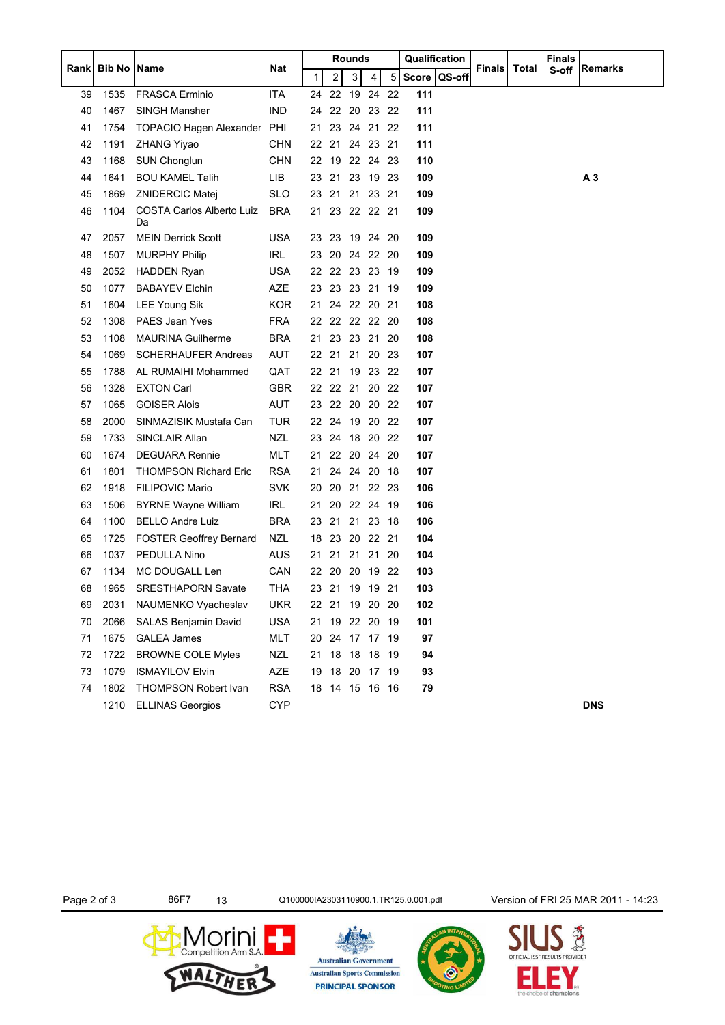|       |                    |                                 |            |    |       | Rounds         |          |     | Qualification |                |               |       | <b>Finals</b> |                |
|-------|--------------------|---------------------------------|------------|----|-------|----------------|----------|-----|---------------|----------------|---------------|-------|---------------|----------------|
| Rankl | <b>Bib No Name</b> |                                 | Nat        | 1  | 2     | 3              | 4        | 5   |               | Score   QS-off | <b>Finals</b> | Total | S-off         | Remarks        |
| 39    | 1535               | <b>FRASCA Erminio</b>           | <b>ITA</b> |    | 24 22 |                | 19 24 22 |     | 111           |                |               |       |               |                |
| 40    | 1467               | <b>SINGH Mansher</b>            | <b>IND</b> | 24 |       | 22 20 23       |          | 22  | 111           |                |               |       |               |                |
| 41    | 1754               | TOPACIO Hagen Alexander PHI     |            | 21 |       | 23 24 21       |          | 22  | 111           |                |               |       |               |                |
| 42    | 1191               | <b>ZHANG Yiyao</b>              | <b>CHN</b> |    |       | 22 21 24 23 21 |          |     | 111           |                |               |       |               |                |
| 43    | 1168               | <b>SUN Chonglun</b>             | <b>CHN</b> | 22 |       | 19 22 24       |          | 23  | 110           |                |               |       |               |                |
| 44    | 1641               | <b>BOU KAMEL Talih</b>          | LIB        | 23 |       | 21 23 19       |          | -23 | 109           |                |               |       |               | A <sub>3</sub> |
| 45    | 1869               | <b>ZNIDERCIC Matej</b>          | <b>SLO</b> |    |       | 23 21 21 23 21 |          |     | 109           |                |               |       |               |                |
| 46    | 1104               | COSTA Carlos Alberto Luiz<br>Da | <b>BRA</b> | 21 |       | 23 22 22 21    |          |     | 109           |                |               |       |               |                |
| 47    | 2057               | <b>MEIN Derrick Scott</b>       | USA        | 23 | 23    | 19 24          |          | 20  | 109           |                |               |       |               |                |
| 48    | 1507               | <b>MURPHY Philip</b>            | <b>IRL</b> |    |       | 23 20 24 22    |          | 20  | 109           |                |               |       |               |                |
| 49    | 2052               | <b>HADDEN Ryan</b>              | <b>USA</b> | 22 |       | 22 23 23       |          | -19 | 109           |                |               |       |               |                |
| 50    | 1077               | <b>BABAYEV Elchin</b>           | AZE        |    |       | 23 23 23 21    |          | 19  | 109           |                |               |       |               |                |
| 51    | 1604               | <b>LEE Young Sik</b>            | <b>KOR</b> |    |       | 21 24 22 20    |          | -21 | 108           |                |               |       |               |                |
| 52    | 1308               | <b>PAES Jean Yves</b>           | <b>FRA</b> | 22 |       | 22 22 22       |          | -20 | 108           |                |               |       |               |                |
| 53    | 1108               | <b>MAURINA Guilherme</b>        | <b>BRA</b> | 21 |       | 23 23 21       |          | 20  | 108           |                |               |       |               |                |
| 54    | 1069               | <b>SCHERHAUFER Andreas</b>      | <b>AUT</b> |    |       | 22 21 21 20    |          | 23  | 107           |                |               |       |               |                |
| 55    | 1788               | AL RUMAIHI Mohammed             | QAT        |    |       | 22 21 19 23    |          | -22 | 107           |                |               |       |               |                |
| 56    | 1328               | <b>EXTON Carl</b>               | <b>GBR</b> |    |       | 22 22 21       | 20       | 22  | 107           |                |               |       |               |                |
| 57    | 1065               | <b>GOISER Alois</b>             | AUT        |    |       | 23 22 20 20    |          | -22 | 107           |                |               |       |               |                |
| 58    | 2000               | SINMAZISIK Mustafa Can          | <b>TUR</b> |    |       | 22 24 19 20    |          | -22 | 107           |                |               |       |               |                |
| 59    | 1733               | SINCLAIR Allan                  | <b>NZL</b> |    | 23 24 | 18 20          |          | 22  | 107           |                |               |       |               |                |
| 60    | 1674               | <b>DEGUARA Rennie</b>           | MLT        | 21 |       | 22 20 24       |          | 20  | 107           |                |               |       |               |                |
| 61    | 1801               | <b>THOMPSON Richard Eric</b>    | <b>RSA</b> | 21 |       | 24 24 20       |          | 18  | 107           |                |               |       |               |                |
| 62    | 1918               | <b>FILIPOVIC Mario</b>          | <b>SVK</b> |    |       | 20 20 21 22 23 |          |     | 106           |                |               |       |               |                |
| 63    | 1506               | <b>BYRNE Wayne William</b>      | IRL        | 21 | 20    | 22 24          |          | 19  | 106           |                |               |       |               |                |
| 64    | 1100               | <b>BELLO Andre Luiz</b>         | <b>BRA</b> | 23 |       | 21 21 23       |          | 18  | 106           |                |               |       |               |                |
| 65    | 1725               | <b>FOSTER Geoffrey Bernard</b>  | <b>NZL</b> | 18 |       | 23 20 22 21    |          |     | 104           |                |               |       |               |                |
| 66    | 1037               | PEDULLA Nino                    | <b>AUS</b> | 21 |       | 21 21 21       |          | 20  | 104           |                |               |       |               |                |
| 67    | 1134               | MC DOUGALL Len                  | CAN        | 22 | 20    | 20             | - 19     | 22  | 103           |                |               |       |               |                |
| 68    | 1965               | <b>SRESTHAPORN Savate</b>       | THA        | 23 | 21    | 19 19 21       |          |     | 103           |                |               |       |               |                |
| 69    | 2031               | NAUMENKO Vyacheslav             | <b>UKR</b> |    |       | 22 21 19 20 20 |          |     | 102           |                |               |       |               |                |
| 70    | 2066               | SALAS Benjamin David            | <b>USA</b> | 21 |       | 19 22 20       |          | 19  | 101           |                |               |       |               |                |
| 71    | 1675               | <b>GALEA James</b>              | MLT        | 20 |       | 24 17 17 19    |          |     | 97            |                |               |       |               |                |
| 72    | 1722               | <b>BROWNE COLE Myles</b>        | <b>NZL</b> |    |       | 21 18 18 18 19 |          |     | 94            |                |               |       |               |                |
| 73    | 1079               | <b>ISMAYILOV Elvin</b>          | <b>AZE</b> | 19 |       | 18 20 17 19    |          |     | 93            |                |               |       |               |                |
| 74    | 1802               | THOMPSON Robert Ivan            | <b>RSA</b> |    |       | 18 14 15 16 16 |          |     | 79            |                |               |       |               |                |
|       | 1210               | <b>ELLINAS Georgios</b>         | <b>CYP</b> |    |       |                |          |     |               |                |               |       |               | <b>DNS</b>     |

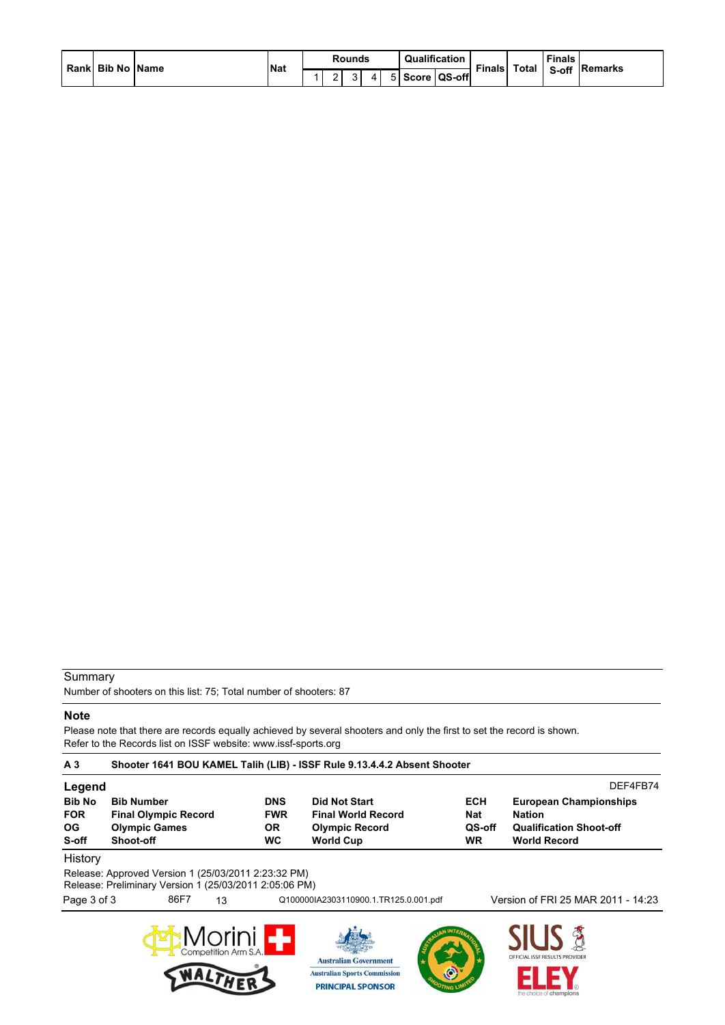|  | Rankl Bib No IName |  | <b>Nat</b> | Rounds      | Qualification  | Total<br><b>Finals</b> |  | <b>Finals</b> |  |
|--|--------------------|--|------------|-------------|----------------|------------------------|--|---------------|--|
|  |                    |  |            | $\sim$<br>ີ | 5 Score QS-off |                        |  | S-off Remarks |  |

## **Summary**

Number of shooters on this list: 75; Total number of shooters: 87

 $\sum_{\text{Competition Arm S.A.}}\prod_{\text{C}}\prod_{\text{C}}$ 

NALI

## **Note**

Please note that there are records equally achieved by several shooters and only the first to set the record is shown. Refer to the Records list on ISSF website: www.issf-sports.org

| A <sub>3</sub>                              | Shooter 1641 BOU KAMEL Talih (LIB) - ISSF Rule 9.13.4.4.2 Absent Shooter                                      |      |                                                    |                                                                                                |                                                 |                                                                                                         |                                    |  |  |  |  |
|---------------------------------------------|---------------------------------------------------------------------------------------------------------------|------|----------------------------------------------------|------------------------------------------------------------------------------------------------|-------------------------------------------------|---------------------------------------------------------------------------------------------------------|------------------------------------|--|--|--|--|
| Legend                                      |                                                                                                               |      |                                                    |                                                                                                |                                                 |                                                                                                         | DFF4FB74                           |  |  |  |  |
| <b>Bib No</b><br><b>FOR</b><br>OG.<br>S-off | <b>Bib Number</b><br><b>Final Olympic Record</b><br><b>Olympic Games</b><br>Shoot-off                         |      | <b>DNS</b><br><b>FWR</b><br><b>OR</b><br><b>WC</b> | <b>Did Not Start</b><br><b>Final World Record</b><br><b>Olympic Record</b><br><b>World Cup</b> | <b>ECH</b><br><b>Nat</b><br>QS-off<br><b>WR</b> | <b>European Championships</b><br><b>Nation</b><br><b>Qualification Shoot-off</b><br><b>World Record</b> |                                    |  |  |  |  |
| History                                     | Release: Approved Version 1 (25/03/2011 2:23:32 PM)<br>Release: Preliminary Version 1 (25/03/2011 2:05:06 PM) |      |                                                    |                                                                                                |                                                 |                                                                                                         |                                    |  |  |  |  |
| Page 3 of 3                                 |                                                                                                               | 86F7 | 13                                                 |                                                                                                | Q100000IA2303110900.1.TR125.0.001.pdf           |                                                                                                         | Version of FRI 25 MAR 2011 - 14:23 |  |  |  |  |
|                                             |                                                                                                               |      |                                                    |                                                                                                |                                                 |                                                                                                         |                                    |  |  |  |  |

**Australian Government Australian Sports Commission** 

**PRINCIPAL SPONSOR** 

**STUS PROVIDER** 

E

Е